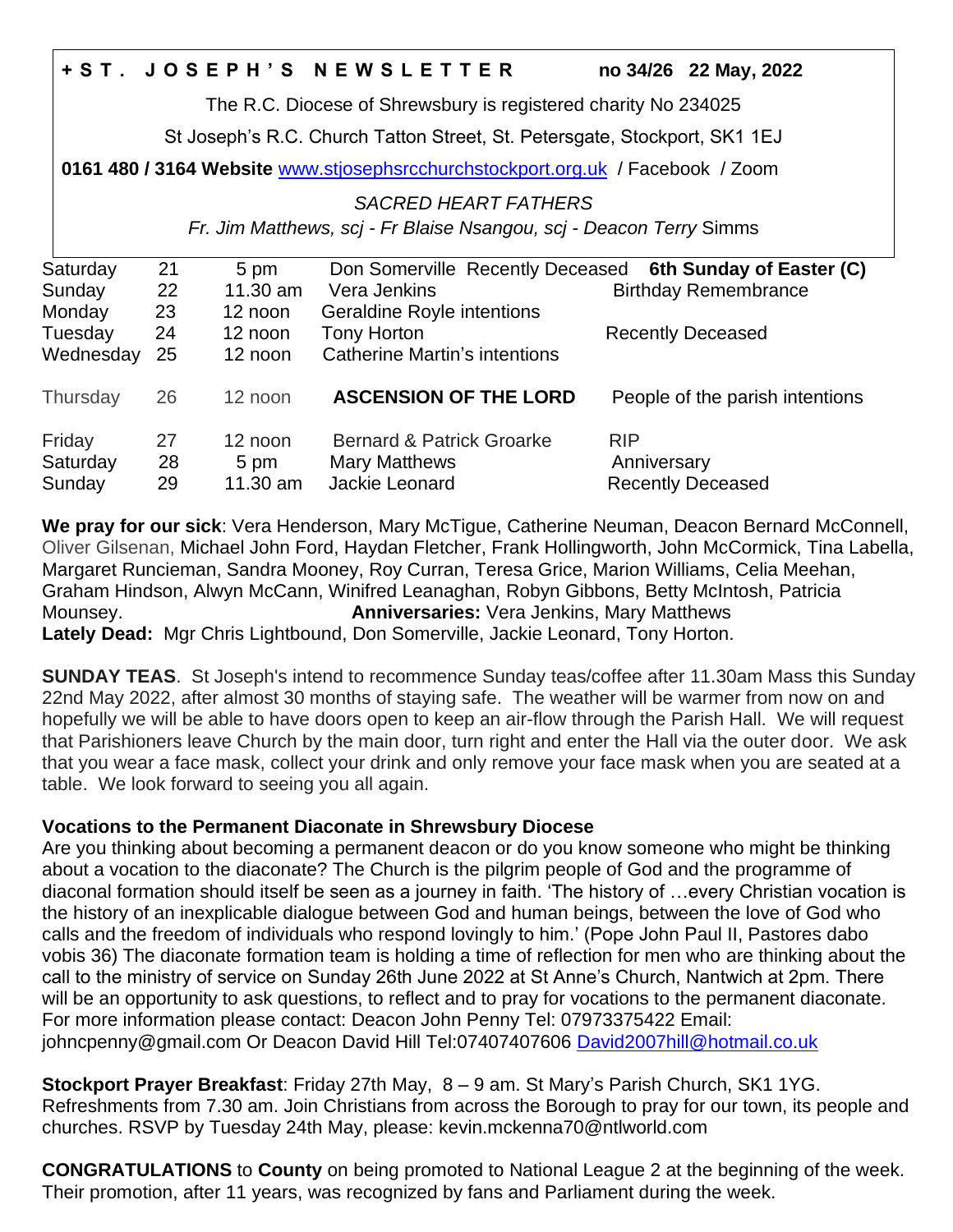|                                                                                 |    |            | +ST. JOSEPH'S NEWSLETTER                                  |             | no 34/26 22 May, 2022           |
|---------------------------------------------------------------------------------|----|------------|-----------------------------------------------------------|-------------|---------------------------------|
| The R.C. Diocese of Shrewsbury is registered charity No 234025                  |    |            |                                                           |             |                                 |
| St Joseph's R.C. Church Tatton Street, St. Petersgate, Stockport, SK1 1EJ       |    |            |                                                           |             |                                 |
| 0161 480 / 3164 Website www.stjosephsrcchurchstockport.org.uk / Facebook / Zoom |    |            |                                                           |             |                                 |
| <b>SACRED HEART FATHERS</b>                                                     |    |            |                                                           |             |                                 |
| Fr. Jim Matthews, scj - Fr Blaise Nsangou, scj - Deacon Terry Simms             |    |            |                                                           |             |                                 |
| Saturday                                                                        | 21 | 5 pm       | Don Somerville Recently Deceased 6th Sunday of Easter (C) |             |                                 |
| Sunday                                                                          | 22 | $11.30$ am | Vera Jenkins                                              |             | <b>Birthday Remembrance</b>     |
| Monday                                                                          | 23 | 12 noon    | Geraldine Royle intentions                                |             |                                 |
| Tuesday                                                                         | 24 | 12 noon    | <b>Tony Horton</b>                                        |             | <b>Recently Deceased</b>        |
| Wednesday                                                                       | 25 | 12 noon    | <b>Catherine Martin's intentions</b>                      |             |                                 |
| Thursday                                                                        | 26 | 12 noon    | <b>ASCENSION OF THE LORD</b>                              |             | People of the parish intentions |
| Friday                                                                          | 27 | 12 noon    | <b>Bernard &amp; Patrick Groarke</b>                      | <b>RIP</b>  |                                 |
| Saturday                                                                        | 28 | 5 pm       | <b>Mary Matthews</b>                                      | Anniversary |                                 |
| Sunday                                                                          | 29 | 11.30 am   | Jackie Leonard                                            |             | <b>Recently Deceased</b>        |

**We pray for our sick**: Vera Henderson, Mary McTigue, Catherine Neuman, Deacon Bernard McConnell, Oliver Gilsenan, Michael John Ford, Haydan Fletcher, Frank Hollingworth, John McCormick, Tina Labella, Margaret Runcieman, Sandra Mooney, Roy Curran, Teresa Grice, Marion Williams, Celia Meehan, Graham Hindson, Alwyn McCann, Winifred Leanaghan, Robyn Gibbons, Betty McIntosh, Patricia Mounsey. **Anniversaries:** Vera Jenkins, Mary Matthews **Lately Dead:** Mgr Chris Lightbound, Don Somerville, Jackie Leonard, Tony Horton.

**SUNDAY TEAS**. St Joseph's intend to recommence Sunday teas/coffee after 11.30am Mass this Sunday 22nd May 2022, after almost 30 months of staying safe. The weather will be warmer from now on and hopefully we will be able to have doors open to keep an air-flow through the Parish Hall. We will request that Parishioners leave Church by the main door, turn right and enter the Hall via the outer door. We ask that you wear a face mask, collect your drink and only remove your face mask when you are seated at a table. We look forward to seeing you all again.

# **Vocations to the Permanent Diaconate in Shrewsbury Diocese**

Are you thinking about becoming a permanent deacon or do you know someone who might be thinking about a vocation to the diaconate? The Church is the pilgrim people of God and the programme of diaconal formation should itself be seen as a journey in faith. 'The history of …every Christian vocation is the history of an inexplicable dialogue between God and human beings, between the love of God who calls and the freedom of individuals who respond lovingly to him.' (Pope John Paul II, Pastores dabo vobis 36) The diaconate formation team is holding a time of reflection for men who are thinking about the call to the ministry of service on Sunday 26th June 2022 at St Anne's Church, Nantwich at 2pm. There will be an opportunity to ask questions, to reflect and to pray for vocations to the permanent diaconate. For more information please contact: Deacon John Penny Tel: 07973375422 Email: johncpenny@gmail.com Or Deacon David Hill Tel:07407407606 [David2007hill@hotmail.co.uk](mailto:David2007hill@hotmail.co.uk)

**Stockport Prayer Breakfast**: Friday 27th May, 8 – 9 am. St Mary's Parish Church, SK1 1YG. Refreshments from 7.30 am. Join Christians from across the Borough to pray for our town, its people and churches. RSVP by Tuesday 24th May, please: kevin.mckenna70@ntlworld.com

**CONGRATULATIONS** to **County** on being promoted to National League 2 at the beginning of the week. Their promotion, after 11 years, was recognized by fans and Parliament during the week.